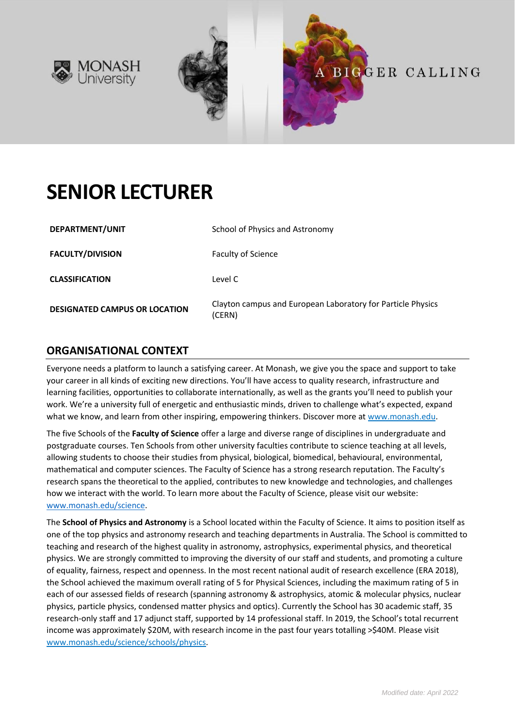



# **SENIOR LECTURER**

| DEPARTMENT/UNIT                      | School of Physics and Astronomy                                       |
|--------------------------------------|-----------------------------------------------------------------------|
| <b>FACULTY/DIVISION</b>              | Faculty of Science                                                    |
| <b>CLASSIFICATION</b>                | Level C                                                               |
| <b>DESIGNATED CAMPUS OR LOCATION</b> | Clayton campus and European Laboratory for Particle Physics<br>(CERN) |

## **ORGANISATIONAL CONTEXT**

Everyone needs a platform to launch a satisfying career. At Monash, we give you the space and support to take your career in all kinds of exciting new directions. You'll have access to quality research, infrastructure and learning facilities, opportunities to collaborate internationally, as well as the grants you'll need to publish your work. We're a university full of energetic and enthusiastic minds, driven to challenge what's expected, expand what we know, and learn from other inspiring, empowering thinkers. Discover more a[t www.monash.edu.](http://www.monash.edu/)

The five Schools of the **Faculty of Science** offer a large and diverse range of disciplines in undergraduate and postgraduate courses. Ten Schools from other university faculties contribute to science teaching at all levels, allowing students to choose their studies from physical, biological, biomedical, behavioural, environmental, mathematical and computer sciences. The Faculty of Science has a strong research reputation. The Faculty's research spans the theoretical to the applied, contributes to new knowledge and technologies, and challenges how we interact with the world. To learn more about the Faculty of Science, please visit our website: [www.monash.edu/science.](http://www.monash.edu/science/)

The **School of Physics and Astronomy** is a School located within the Faculty of Science. It aims to position itself as one of the top physics and astronomy research and teaching departments in Australia. The School is committed to teaching and research of the highest quality in astronomy, astrophysics, experimental physics, and theoretical physics. We are strongly committed to improving the diversity of our staff and students, and promoting a culture of equality, fairness, respect and openness. In the most recent national audit of research excellence (ERA 2018), the School achieved the maximum overall rating of 5 for Physical Sciences, including the maximum rating of 5 in each of our assessed fields of research (spanning astronomy & astrophysics, atomic & molecular physics, nuclear physics, particle physics, condensed matter physics and optics). Currently the School has 30 academic staff, 35 research-only staff and 17 adjunct staff, supported by 14 professional staff. In 2019, the School's total recurrent income was approximately \$20M, with research income in the past four years totalling >\$40M. Please visit [www.monash.edu/science/schools/physics.](https://www.monash.edu/science/schools/physics)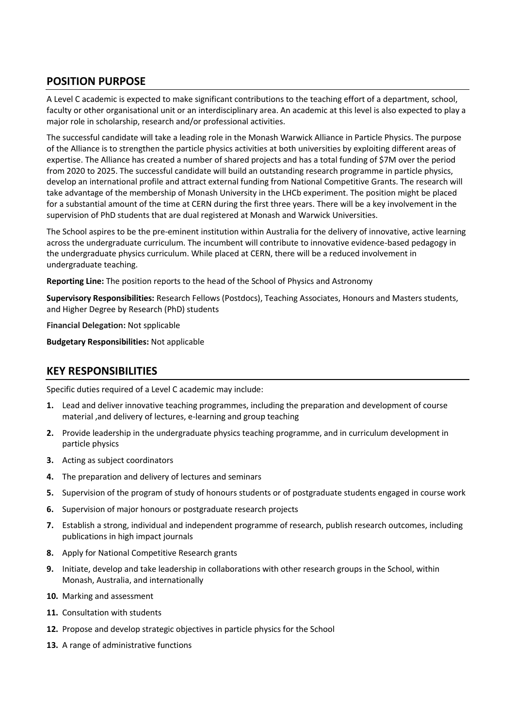# **POSITION PURPOSE**

A Level C academic is expected to make significant contributions to the teaching effort of a department, school, faculty or other organisational unit or an interdisciplinary area. An academic at this level is also expected to play a major role in scholarship, research and/or professional activities.

The successful candidate will take a leading role in the Monash Warwick Alliance in Particle Physics. The purpose of the Alliance is to strengthen the particle physics activities at both universities by exploiting different areas of expertise. The Alliance has created a number of shared projects and has a total funding of \$7M over the period from 2020 to 2025. The successful candidate will build an outstanding research programme in particle physics, develop an international profile and attract external funding from National Competitive Grants. The research will take advantage of the membership of Monash University in the LHCb experiment. The position might be placed for a substantial amount of the time at CERN during the first three years. There will be a key involvement in the supervision of PhD students that are dual registered at Monash and Warwick Universities.

The School aspires to be the pre-eminent institution within Australia for the delivery of innovative, active learning across the undergraduate curriculum. The incumbent will contribute to innovative evidence-based pedagogy in the undergraduate physics curriculum. While placed at CERN, there will be a reduced involvement in undergraduate teaching.

**Reporting Line:** The position reports to the head of the School of Physics and Astronomy

**Supervisory Responsibilities:** Research Fellows (Postdocs), Teaching Associates, Honours and Masters students, and Higher Degree by Research (PhD) students

**Financial Delegation:** Not spplicable

**Budgetary Responsibilities:** Not applicable

#### **KEY RESPONSIBILITIES**

Specific duties required of a Level C academic may include:

- **1.** Lead and deliver innovative teaching programmes, including the preparation and development of course material ,and delivery of lectures, e-learning and group teaching
- **2.** Provide leadership in the undergraduate physics teaching programme, and in curriculum development in particle physics
- **3.** Acting as subject coordinators
- **4.** The preparation and delivery of lectures and seminars
- **5.** Supervision of the program of study of honours students or of postgraduate students engaged in course work
- **6.** Supervision of major honours or postgraduate research projects
- **7.** Establish a strong, individual and independent programme of research, publish research outcomes, including publications in high impact journals
- **8.** Apply for National Competitive Research grants
- **9.** Initiate, develop and take leadership in collaborations with other research groups in the School, within Monash, Australia, and internationally
- **10.** Marking and assessment
- **11.** Consultation with students
- **12.** Propose and develop strategic objectives in particle physics for the School
- **13.** A range of administrative functions